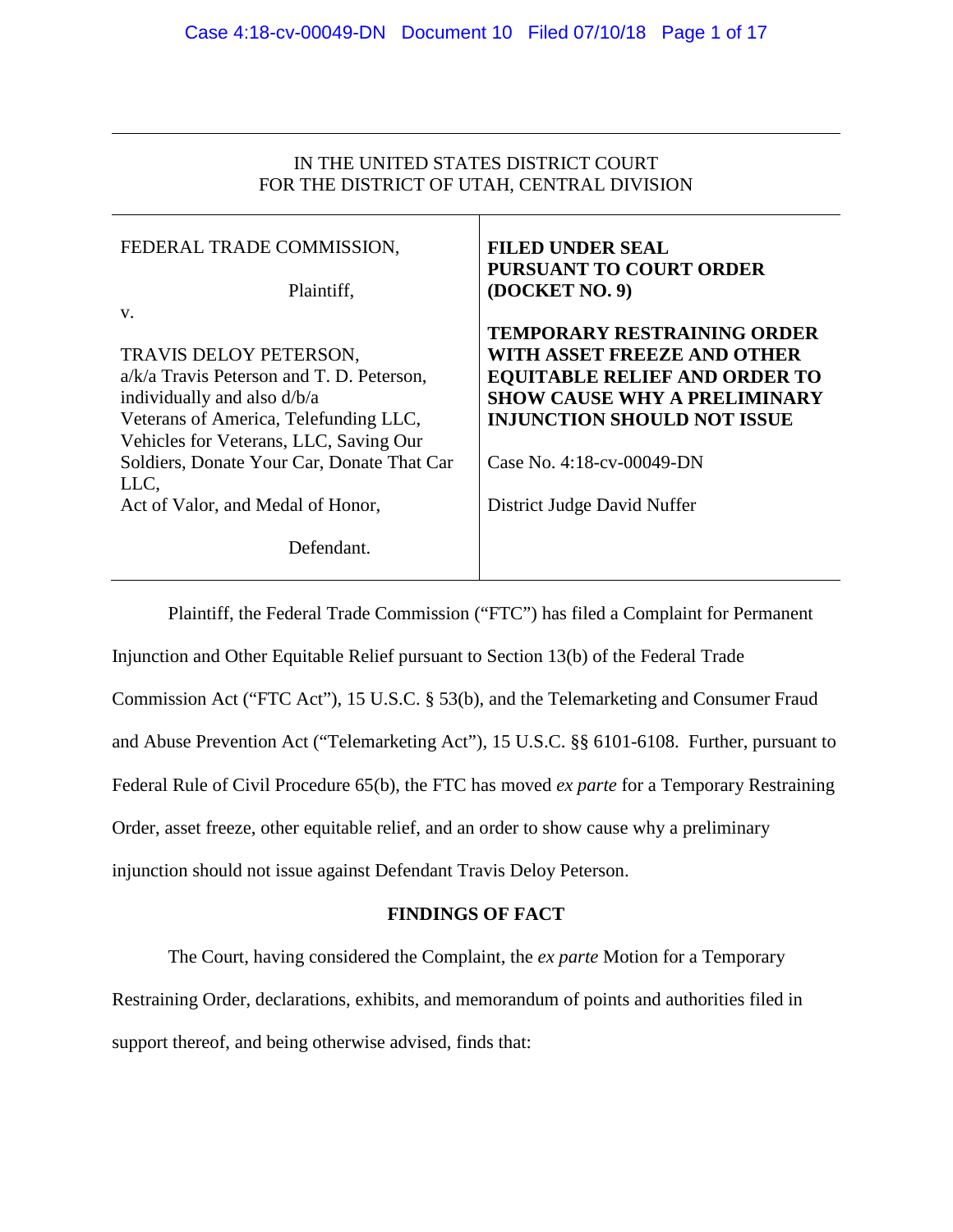## IN THE UNITED STATES DISTRICT COURT FOR THE DISTRICT OF UTAH, CENTRAL DIVISION

| FEDERAL TRADE COMMISSION,                                                                                                                                                                     | <b>FILED UNDER SEAL</b><br><b>PURSUANT TO COURT ORDER</b>                                                                                                                       |
|-----------------------------------------------------------------------------------------------------------------------------------------------------------------------------------------------|---------------------------------------------------------------------------------------------------------------------------------------------------------------------------------|
| Plaintiff,                                                                                                                                                                                    | (DOCKET NO. 9)                                                                                                                                                                  |
| V.<br>TRAVIS DELOY PETERSON,<br>$a/k/a$ Travis Peterson and T. D. Peterson,<br>individually and also d/b/a<br>Veterans of America, Telefunding LLC,<br>Vehicles for Veterans, LLC, Saving Our | TEMPORARY RESTRAINING ORDER<br>WITH ASSET FREEZE AND OTHER<br><b>EQUITABLE RELIEF AND ORDER TO</b><br><b>SHOW CAUSE WHY A PRELIMINARY</b><br><b>INJUNCTION SHOULD NOT ISSUE</b> |
| Soldiers, Donate Your Car, Donate That Car                                                                                                                                                    | Case No. 4:18-cv-00049-DN                                                                                                                                                       |
| LLC,<br>Act of Valor, and Medal of Honor,                                                                                                                                                     | District Judge David Nuffer                                                                                                                                                     |
| Defendant.                                                                                                                                                                                    |                                                                                                                                                                                 |

Plaintiff, the Federal Trade Commission ("FTC") has filed a Complaint for Permanent Injunction and Other Equitable Relief pursuant to Section 13(b) of the Federal Trade Commission Act ("FTC Act"), 15 U.S.C. § 53(b), and the Telemarketing and Consumer Fraud and Abuse Prevention Act ("Telemarketing Act"), 15 U.S.C. §§ 6101-6108. Further, pursuant to Federal Rule of Civil Procedure 65(b), the FTC has moved *ex parte* for a Temporary Restraining Order, asset freeze, other equitable relief, and an order to show cause why a preliminary injunction should not issue against Defendant Travis Deloy Peterson.

## **FINDINGS OF FACT**

The Court, having considered the Complaint, the *ex parte* Motion for a Temporary Restraining Order, declarations, exhibits, and memorandum of points and authorities filed in support thereof, and being otherwise advised, finds that: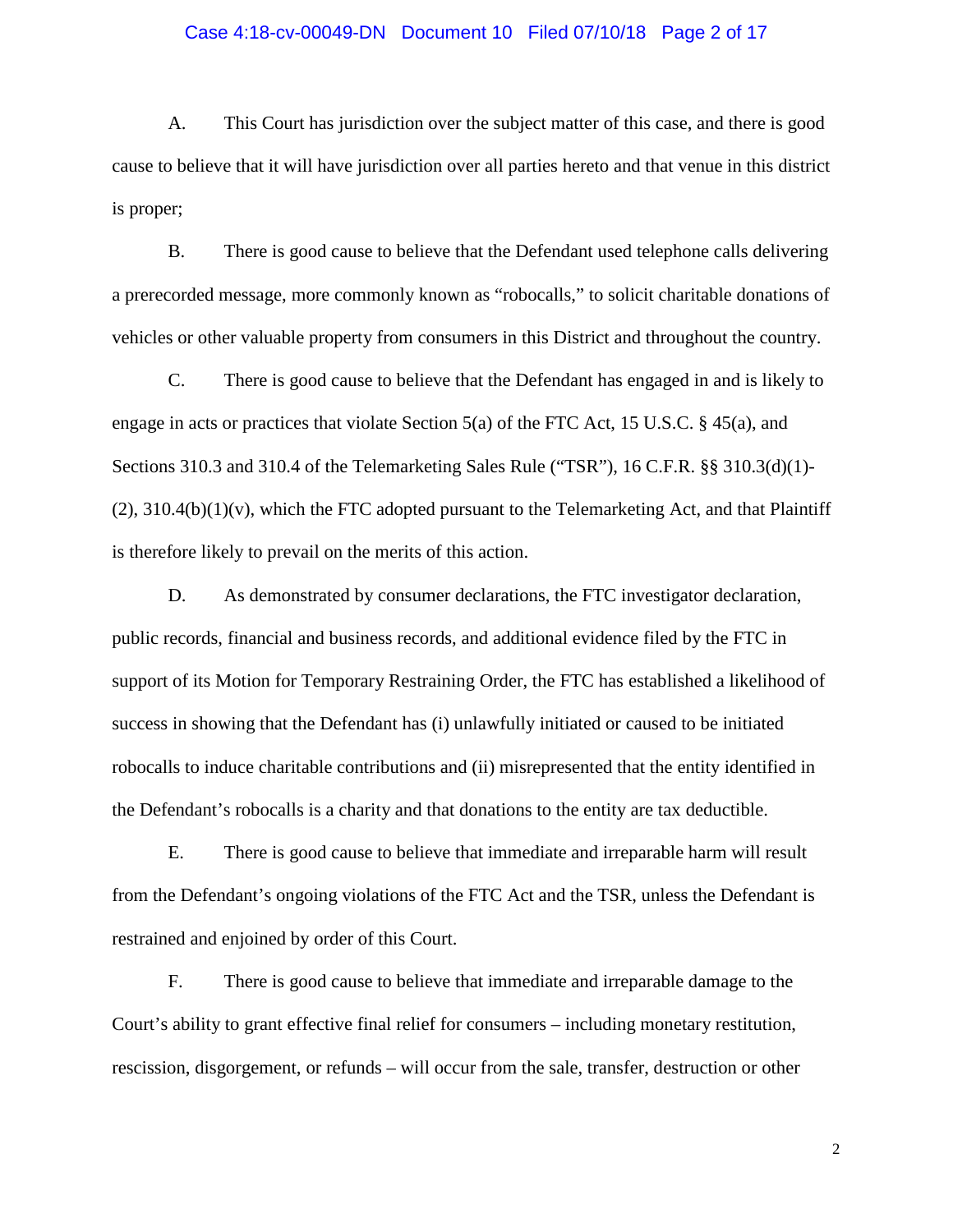#### Case 4:18-cv-00049-DN Document 10 Filed 07/10/18 Page 2 of 17

A. This Court has jurisdiction over the subject matter of this case, and there is good cause to believe that it will have jurisdiction over all parties hereto and that venue in this district is proper;

B. There is good cause to believe that the Defendant used telephone calls delivering a prerecorded message, more commonly known as "robocalls," to solicit charitable donations of vehicles or other valuable property from consumers in this District and throughout the country.

C. There is good cause to believe that the Defendant has engaged in and is likely to engage in acts or practices that violate Section 5(a) of the FTC Act, 15 U.S.C. § 45(a), and Sections 310.3 and 310.4 of the Telemarketing Sales Rule ("TSR"), 16 C.F.R. §§ 310.3(d)(1)-  $(2)$ , 310.4(b)(1)(v), which the FTC adopted pursuant to the Telemarketing Act, and that Plaintiff is therefore likely to prevail on the merits of this action.

D. As demonstrated by consumer declarations, the FTC investigator declaration, public records, financial and business records, and additional evidence filed by the FTC in support of its Motion for Temporary Restraining Order, the FTC has established a likelihood of success in showing that the Defendant has (i) unlawfully initiated or caused to be initiated robocalls to induce charitable contributions and (ii) misrepresented that the entity identified in the Defendant's robocalls is a charity and that donations to the entity are tax deductible.

E. There is good cause to believe that immediate and irreparable harm will result from the Defendant's ongoing violations of the FTC Act and the TSR, unless the Defendant is restrained and enjoined by order of this Court.

F. There is good cause to believe that immediate and irreparable damage to the Court's ability to grant effective final relief for consumers – including monetary restitution, rescission, disgorgement, or refunds – will occur from the sale, transfer, destruction or other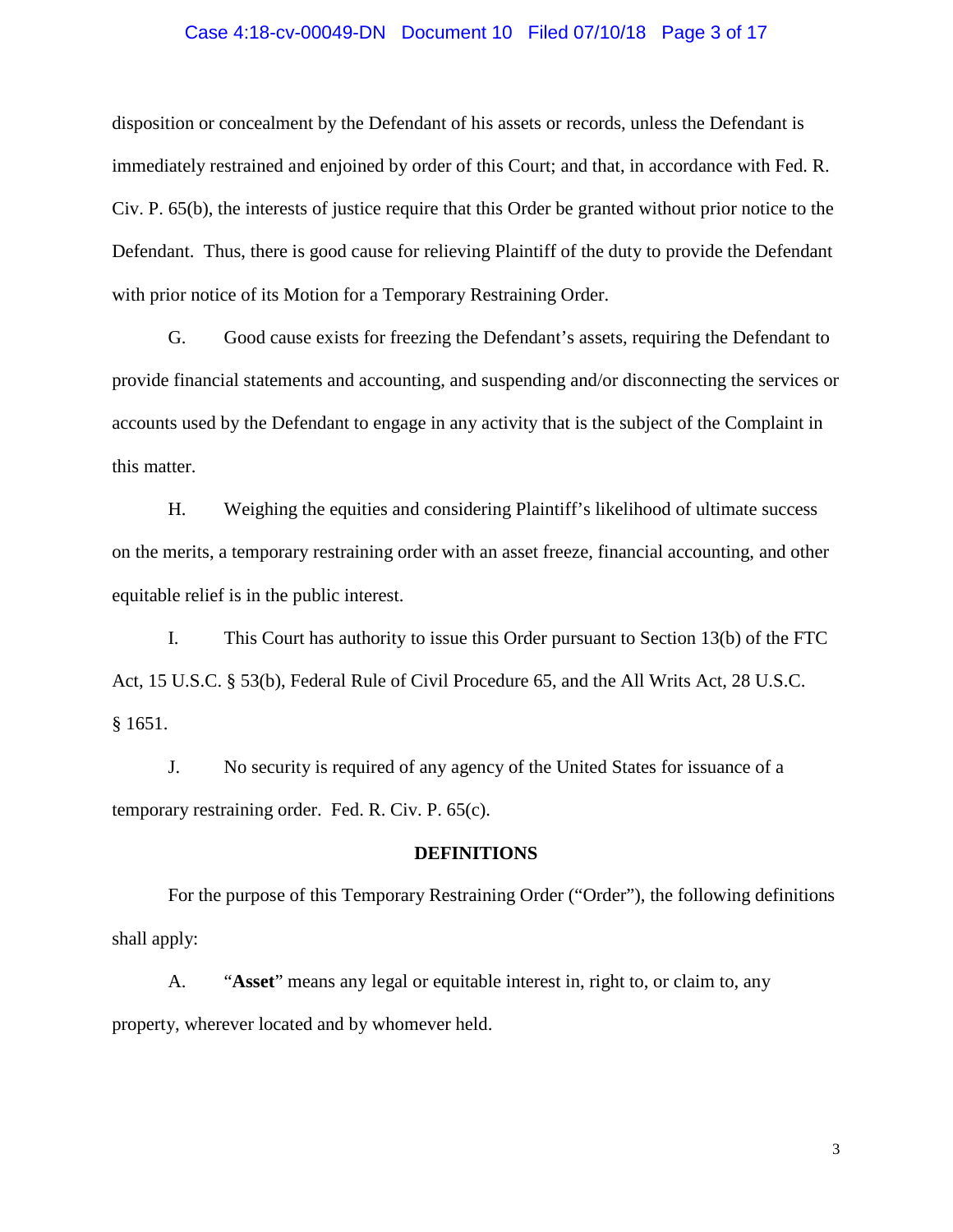#### Case 4:18-cv-00049-DN Document 10 Filed 07/10/18 Page 3 of 17

disposition or concealment by the Defendant of his assets or records, unless the Defendant is immediately restrained and enjoined by order of this Court; and that, in accordance with Fed. R. Civ. P. 65(b), the interests of justice require that this Order be granted without prior notice to the Defendant. Thus, there is good cause for relieving Plaintiff of the duty to provide the Defendant with prior notice of its Motion for a Temporary Restraining Order.

G. Good cause exists for freezing the Defendant's assets, requiring the Defendant to provide financial statements and accounting, and suspending and/or disconnecting the services or accounts used by the Defendant to engage in any activity that is the subject of the Complaint in this matter.

H. Weighing the equities and considering Plaintiff's likelihood of ultimate success on the merits, a temporary restraining order with an asset freeze, financial accounting, and other equitable relief is in the public interest.

I. This Court has authority to issue this Order pursuant to Section 13(b) of the FTC Act, 15 U.S.C. § 53(b), Federal Rule of Civil Procedure 65, and the All Writs Act, 28 U.S.C. § 1651.

J. No security is required of any agency of the United States for issuance of a temporary restraining order. Fed. R. Civ. P. 65(c).

#### **DEFINITIONS**

For the purpose of this Temporary Restraining Order ("Order"), the following definitions shall apply:

A. "**Asset**" means any legal or equitable interest in, right to, or claim to, any property, wherever located and by whomever held.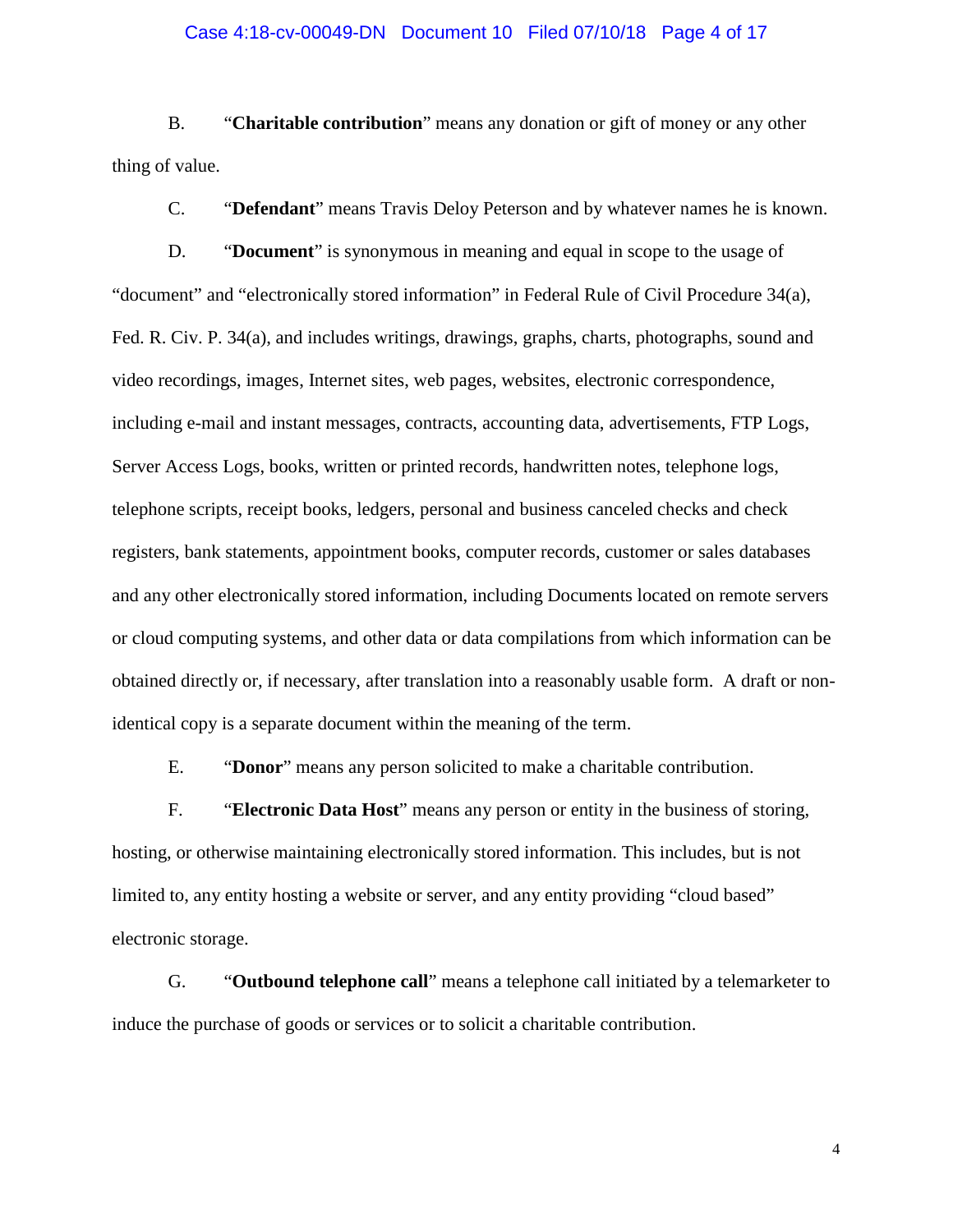#### Case 4:18-cv-00049-DN Document 10 Filed 07/10/18 Page 4 of 17

B. "**Charitable contribution**" means any donation or gift of money or any other thing of value.

C. "**Defendant**" means Travis Deloy Peterson and by whatever names he is known.

D. "**Document**" is synonymous in meaning and equal in scope to the usage of "document" and "electronically stored information" in Federal Rule of Civil Procedure 34(a), Fed. R. Civ. P. 34(a), and includes writings, drawings, graphs, charts, photographs, sound and video recordings, images, Internet sites, web pages, websites, electronic correspondence, including e-mail and instant messages, contracts, accounting data, advertisements, FTP Logs, Server Access Logs, books, written or printed records, handwritten notes, telephone logs, telephone scripts, receipt books, ledgers, personal and business canceled checks and check registers, bank statements, appointment books, computer records, customer or sales databases and any other electronically stored information, including Documents located on remote servers or cloud computing systems, and other data or data compilations from which information can be obtained directly or, if necessary, after translation into a reasonably usable form. A draft or nonidentical copy is a separate document within the meaning of the term.

E. "**Donor**" means any person solicited to make a charitable contribution.

F. "**Electronic Data Host**" means any person or entity in the business of storing, hosting, or otherwise maintaining electronically stored information. This includes, but is not limited to, any entity hosting a website or server, and any entity providing "cloud based" electronic storage.

G. "**Outbound telephone call**" means a telephone call initiated by a telemarketer to induce the purchase of goods or services or to solicit a charitable contribution.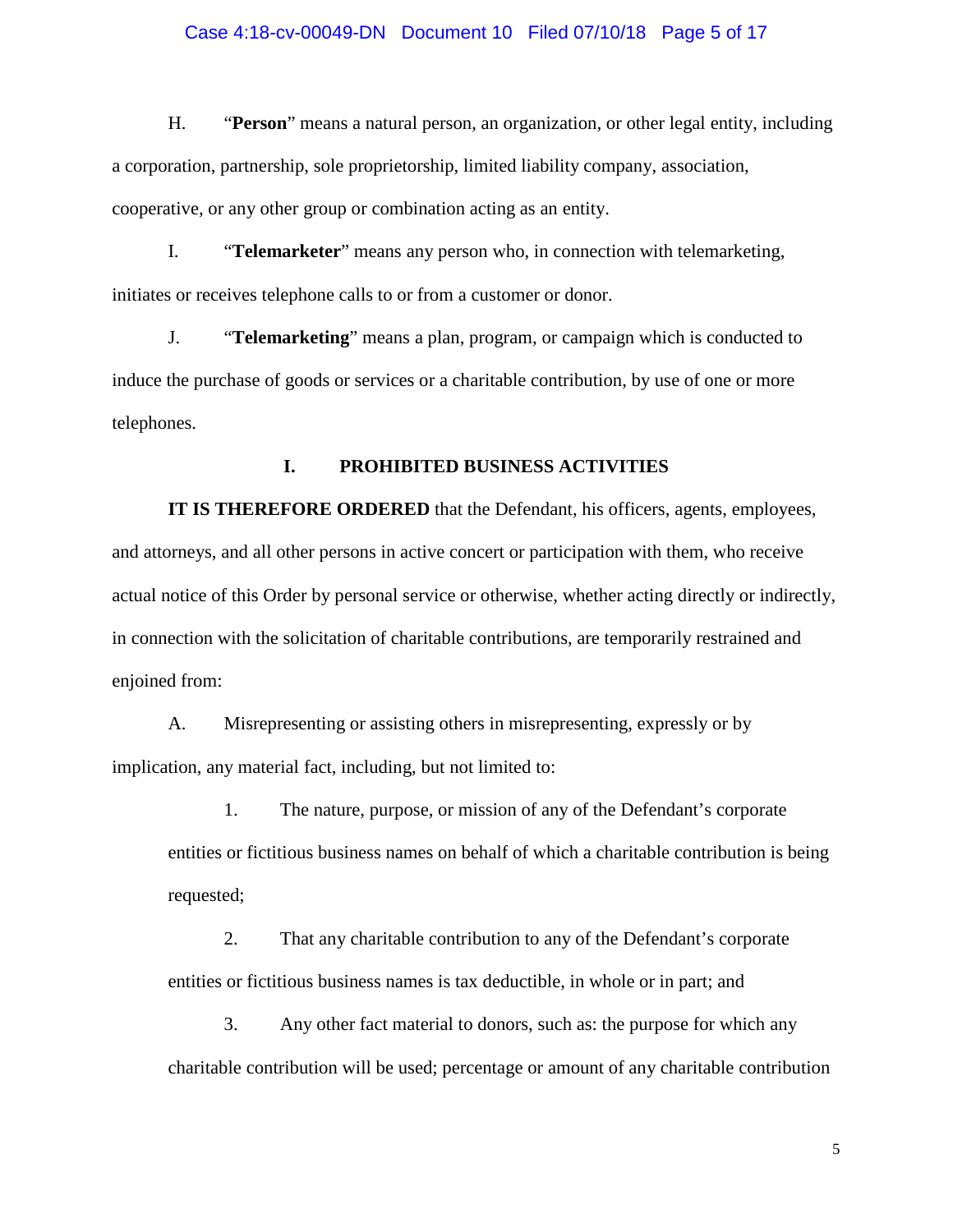#### Case 4:18-cv-00049-DN Document 10 Filed 07/10/18 Page 5 of 17

H. "**Person**" means a natural person, an organization, or other legal entity, including a corporation, partnership, sole proprietorship, limited liability company, association, cooperative, or any other group or combination acting as an entity.

I. "**Telemarketer**" means any person who, in connection with telemarketing, initiates or receives telephone calls to or from a customer or donor.

J. "**Telemarketing**" means a plan, program, or campaign which is conducted to induce the purchase of goods or services or a charitable contribution, by use of one or more telephones.

## **I. PROHIBITED BUSINESS ACTIVITIES**

**IT IS THEREFORE ORDERED** that the Defendant, his officers, agents, employees, and attorneys, and all other persons in active concert or participation with them, who receive actual notice of this Order by personal service or otherwise, whether acting directly or indirectly, in connection with the solicitation of charitable contributions, are temporarily restrained and enjoined from:

A. Misrepresenting or assisting others in misrepresenting, expressly or by implication, any material fact, including, but not limited to:

1. The nature, purpose, or mission of any of the Defendant's corporate entities or fictitious business names on behalf of which a charitable contribution is being requested;

2. That any charitable contribution to any of the Defendant's corporate entities or fictitious business names is tax deductible, in whole or in part; and

3. Any other fact material to donors, such as: the purpose for which any charitable contribution will be used; percentage or amount of any charitable contribution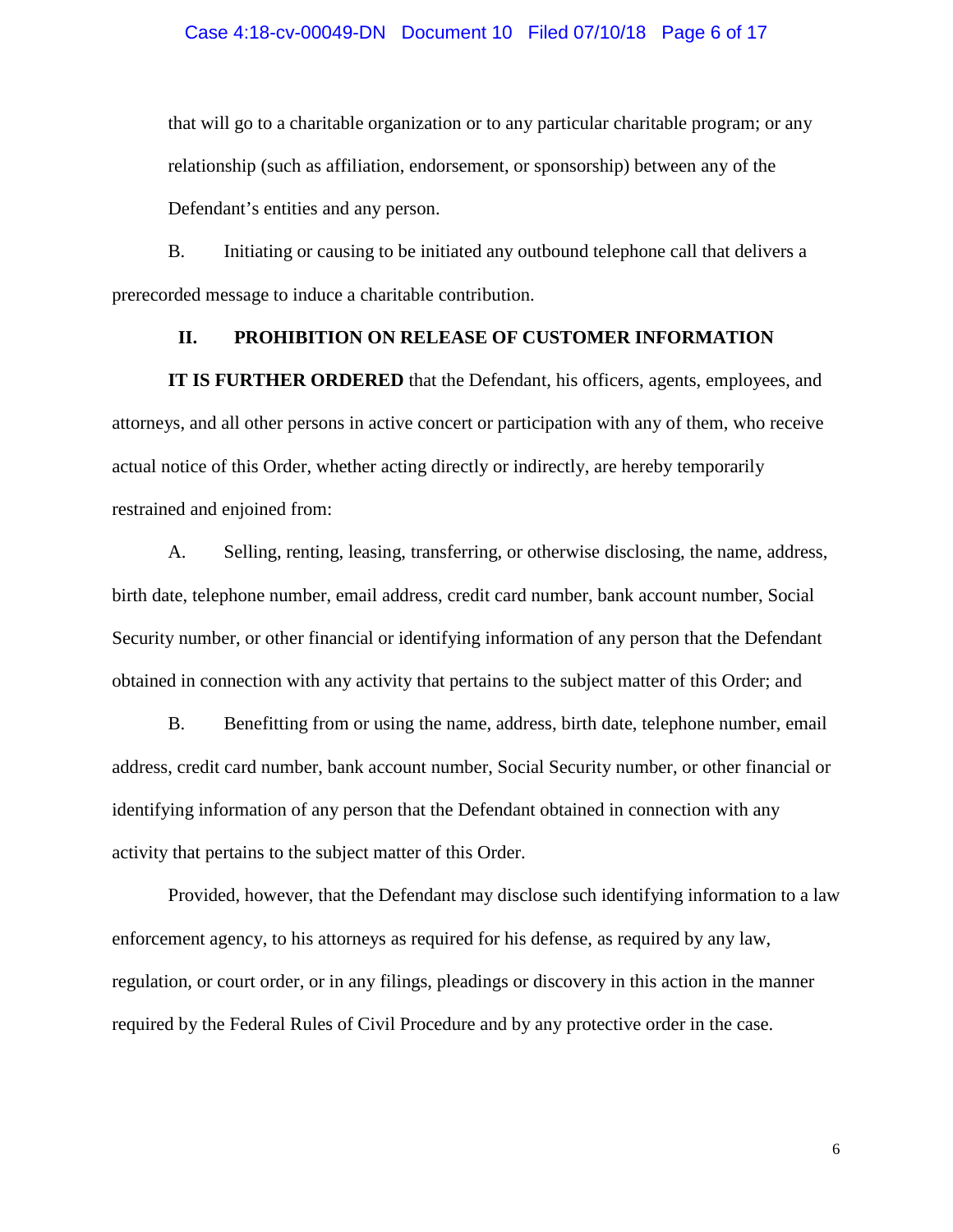that will go to a charitable organization or to any particular charitable program; or any relationship (such as affiliation, endorsement, or sponsorship) between any of the Defendant's entities and any person.

B. Initiating or causing to be initiated any outbound telephone call that delivers a prerecorded message to induce a charitable contribution.

## **II. PROHIBITION ON RELEASE OF CUSTOMER INFORMATION**

**IT IS FURTHER ORDERED** that the Defendant, his officers, agents, employees, and attorneys, and all other persons in active concert or participation with any of them, who receive actual notice of this Order, whether acting directly or indirectly, are hereby temporarily restrained and enjoined from:

A. Selling, renting, leasing, transferring, or otherwise disclosing, the name, address, birth date, telephone number, email address, credit card number, bank account number, Social Security number, or other financial or identifying information of any person that the Defendant obtained in connection with any activity that pertains to the subject matter of this Order; and

B. Benefitting from or using the name, address, birth date, telephone number, email address, credit card number, bank account number, Social Security number, or other financial or identifying information of any person that the Defendant obtained in connection with any activity that pertains to the subject matter of this Order.

Provided, however, that the Defendant may disclose such identifying information to a law enforcement agency, to his attorneys as required for his defense, as required by any law, regulation, or court order, or in any filings, pleadings or discovery in this action in the manner required by the Federal Rules of Civil Procedure and by any protective order in the case.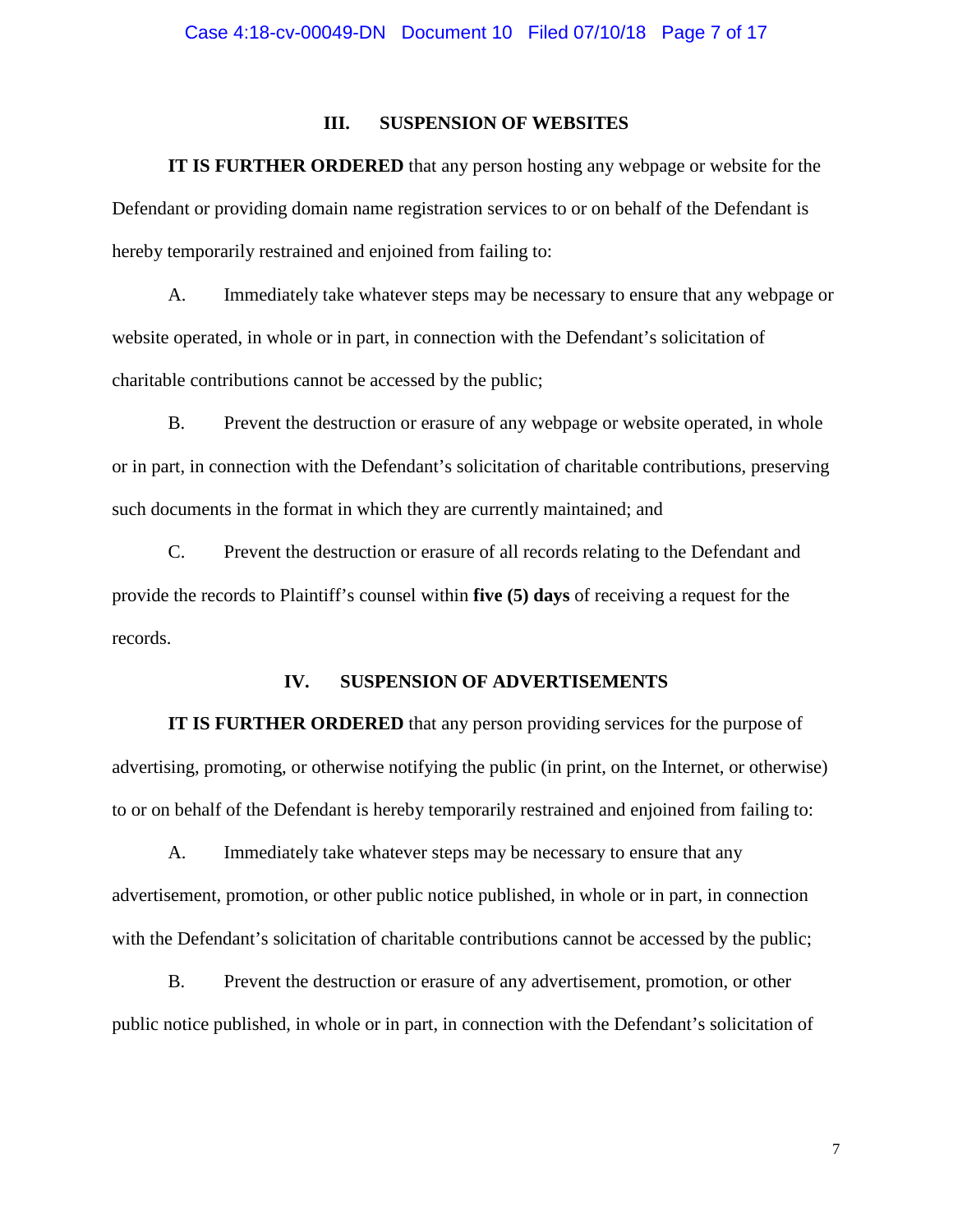#### **III. SUSPENSION OF WEBSITES**

**IT IS FURTHER ORDERED** that any person hosting any webpage or website for the Defendant or providing domain name registration services to or on behalf of the Defendant is hereby temporarily restrained and enjoined from failing to:

A. Immediately take whatever steps may be necessary to ensure that any webpage or website operated, in whole or in part, in connection with the Defendant's solicitation of charitable contributions cannot be accessed by the public;

B. Prevent the destruction or erasure of any webpage or website operated, in whole or in part, in connection with the Defendant's solicitation of charitable contributions, preserving such documents in the format in which they are currently maintained; and

C. Prevent the destruction or erasure of all records relating to the Defendant and provide the records to Plaintiff's counsel within **five (5) days** of receiving a request for the records.

#### **IV. SUSPENSION OF ADVERTISEMENTS**

**IT IS FURTHER ORDERED** that any person providing services for the purpose of advertising, promoting, or otherwise notifying the public (in print, on the Internet, or otherwise) to or on behalf of the Defendant is hereby temporarily restrained and enjoined from failing to:

A. Immediately take whatever steps may be necessary to ensure that any advertisement, promotion, or other public notice published, in whole or in part, in connection with the Defendant's solicitation of charitable contributions cannot be accessed by the public;

B. Prevent the destruction or erasure of any advertisement, promotion, or other public notice published, in whole or in part, in connection with the Defendant's solicitation of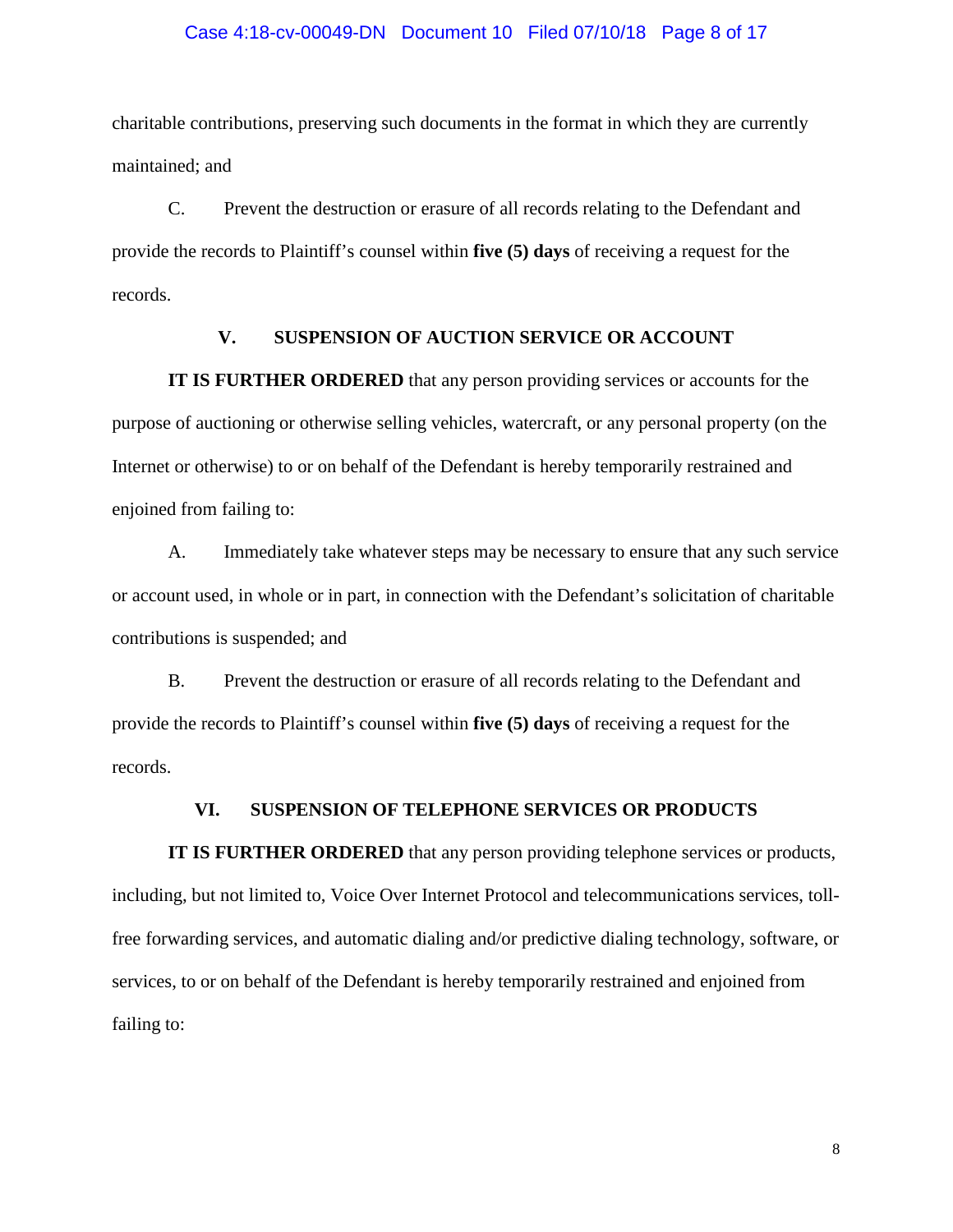#### Case 4:18-cv-00049-DN Document 10 Filed 07/10/18 Page 8 of 17

charitable contributions, preserving such documents in the format in which they are currently maintained; and

C. Prevent the destruction or erasure of all records relating to the Defendant and provide the records to Plaintiff's counsel within **five (5) days** of receiving a request for the records.

## **V. SUSPENSION OF AUCTION SERVICE OR ACCOUNT**

**IT IS FURTHER ORDERED** that any person providing services or accounts for the purpose of auctioning or otherwise selling vehicles, watercraft, or any personal property (on the Internet or otherwise) to or on behalf of the Defendant is hereby temporarily restrained and enjoined from failing to:

A. Immediately take whatever steps may be necessary to ensure that any such service or account used, in whole or in part, in connection with the Defendant's solicitation of charitable contributions is suspended; and

B. Prevent the destruction or erasure of all records relating to the Defendant and provide the records to Plaintiff's counsel within **five (5) days** of receiving a request for the records.

#### **VI. SUSPENSION OF TELEPHONE SERVICES OR PRODUCTS**

**IT IS FURTHER ORDERED** that any person providing telephone services or products, including, but not limited to, Voice Over Internet Protocol and telecommunications services, tollfree forwarding services, and automatic dialing and/or predictive dialing technology, software, or services, to or on behalf of the Defendant is hereby temporarily restrained and enjoined from failing to: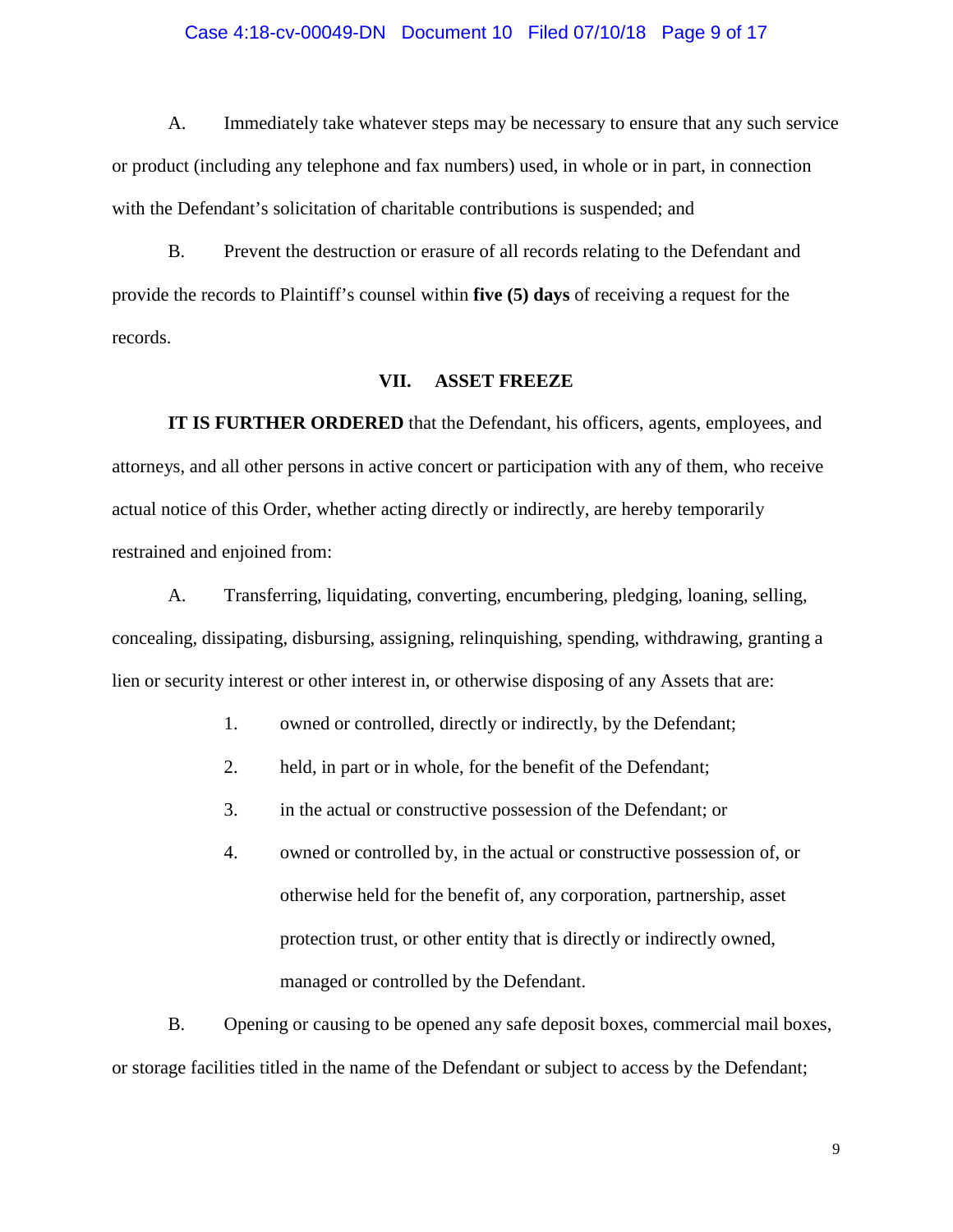#### Case 4:18-cv-00049-DN Document 10 Filed 07/10/18 Page 9 of 17

A. Immediately take whatever steps may be necessary to ensure that any such service or product (including any telephone and fax numbers) used, in whole or in part, in connection with the Defendant's solicitation of charitable contributions is suspended; and

B. Prevent the destruction or erasure of all records relating to the Defendant and provide the records to Plaintiff's counsel within **five (5) days** of receiving a request for the records.

#### **VII. ASSET FREEZE**

**IT IS FURTHER ORDERED** that the Defendant, his officers, agents, employees, and attorneys, and all other persons in active concert or participation with any of them, who receive actual notice of this Order, whether acting directly or indirectly, are hereby temporarily restrained and enjoined from:

A. Transferring, liquidating, converting, encumbering, pledging, loaning, selling, concealing, dissipating, disbursing, assigning, relinquishing, spending, withdrawing, granting a lien or security interest or other interest in, or otherwise disposing of any Assets that are:

- 1. owned or controlled, directly or indirectly, by the Defendant;
- 2. held, in part or in whole, for the benefit of the Defendant;
- 3. in the actual or constructive possession of the Defendant; or
- 4. owned or controlled by, in the actual or constructive possession of, or otherwise held for the benefit of, any corporation, partnership, asset protection trust, or other entity that is directly or indirectly owned, managed or controlled by the Defendant.

B. Opening or causing to be opened any safe deposit boxes, commercial mail boxes, or storage facilities titled in the name of the Defendant or subject to access by the Defendant;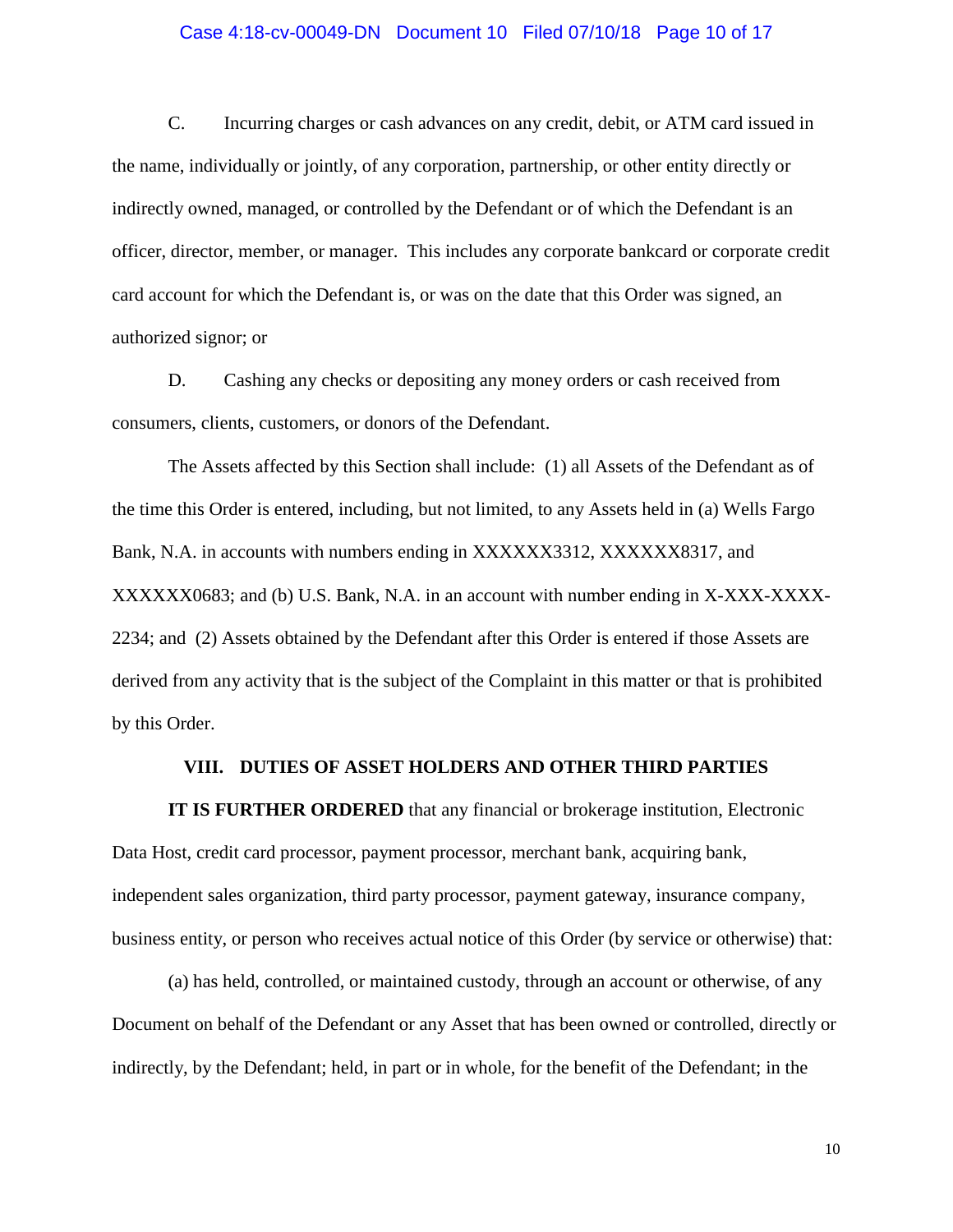#### Case 4:18-cv-00049-DN Document 10 Filed 07/10/18 Page 10 of 17

C. Incurring charges or cash advances on any credit, debit, or ATM card issued in the name, individually or jointly, of any corporation, partnership, or other entity directly or indirectly owned, managed, or controlled by the Defendant or of which the Defendant is an officer, director, member, or manager. This includes any corporate bankcard or corporate credit card account for which the Defendant is, or was on the date that this Order was signed, an authorized signor; or

D. Cashing any checks or depositing any money orders or cash received from consumers, clients, customers, or donors of the Defendant.

The Assets affected by this Section shall include: (1) all Assets of the Defendant as of the time this Order is entered, including, but not limited, to any Assets held in (a) Wells Fargo Bank, N.A. in accounts with numbers ending in XXXXXX3312, XXXXXX8317, and XXXXXX0683; and (b) U.S. Bank, N.A. in an account with number ending in X-XXX-XXXX-2234; and (2) Assets obtained by the Defendant after this Order is entered if those Assets are derived from any activity that is the subject of the Complaint in this matter or that is prohibited by this Order.

#### **VIII. DUTIES OF ASSET HOLDERS AND OTHER THIRD PARTIES**

**IT IS FURTHER ORDERED** that any financial or brokerage institution, Electronic Data Host, credit card processor, payment processor, merchant bank, acquiring bank, independent sales organization, third party processor, payment gateway, insurance company, business entity, or person who receives actual notice of this Order (by service or otherwise) that:

(a) has held, controlled, or maintained custody, through an account or otherwise, of any Document on behalf of the Defendant or any Asset that has been owned or controlled, directly or indirectly, by the Defendant; held, in part or in whole, for the benefit of the Defendant; in the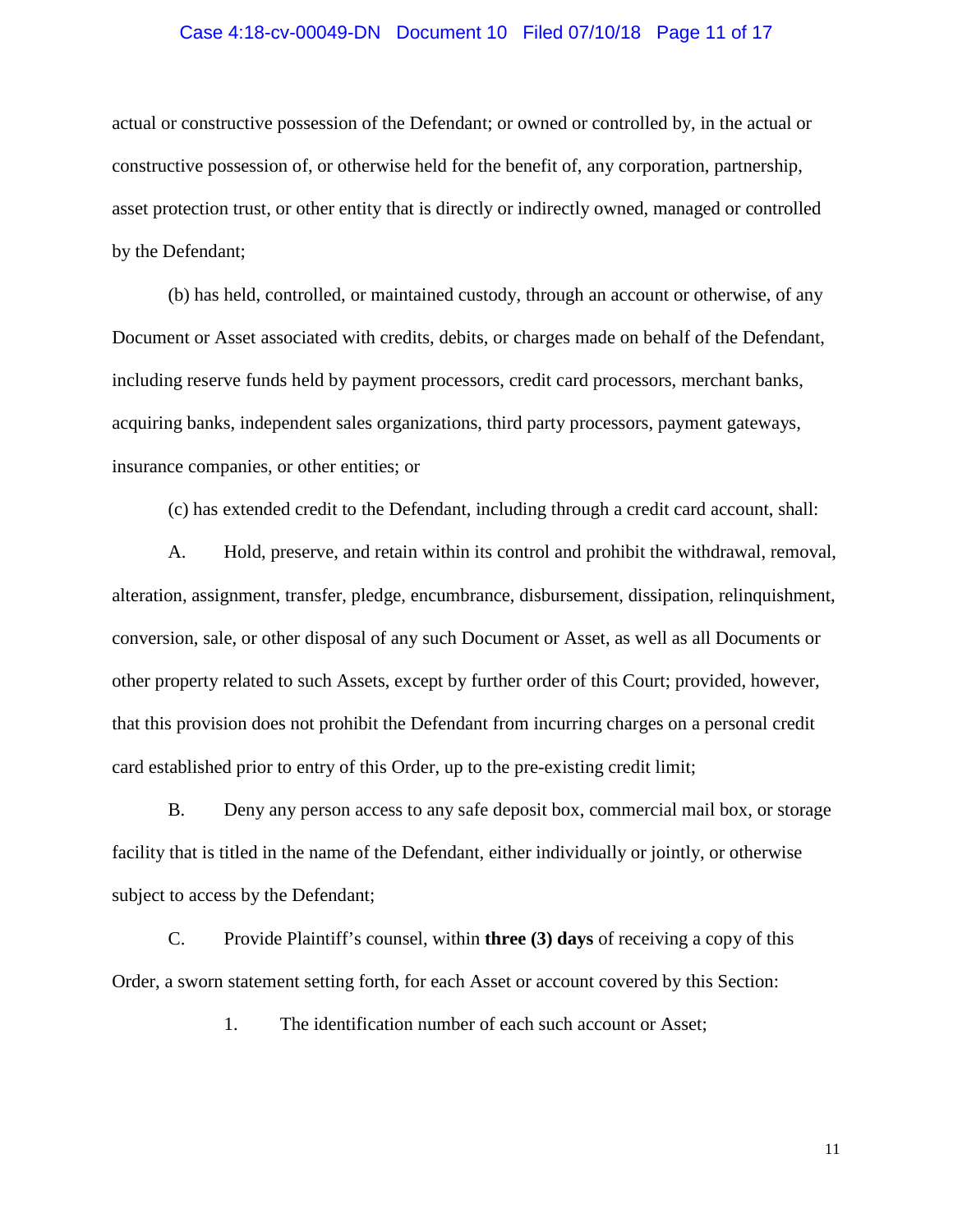#### Case 4:18-cv-00049-DN Document 10 Filed 07/10/18 Page 11 of 17

actual or constructive possession of the Defendant; or owned or controlled by, in the actual or constructive possession of, or otherwise held for the benefit of, any corporation, partnership, asset protection trust, or other entity that is directly or indirectly owned, managed or controlled by the Defendant;

(b) has held, controlled, or maintained custody, through an account or otherwise, of any Document or Asset associated with credits, debits, or charges made on behalf of the Defendant, including reserve funds held by payment processors, credit card processors, merchant banks, acquiring banks, independent sales organizations, third party processors, payment gateways, insurance companies, or other entities; or

(c) has extended credit to the Defendant, including through a credit card account, shall:

A. Hold, preserve, and retain within its control and prohibit the withdrawal, removal, alteration, assignment, transfer, pledge, encumbrance, disbursement, dissipation, relinquishment, conversion, sale, or other disposal of any such Document or Asset, as well as all Documents or other property related to such Assets, except by further order of this Court; provided, however, that this provision does not prohibit the Defendant from incurring charges on a personal credit card established prior to entry of this Order, up to the pre-existing credit limit;

B. Deny any person access to any safe deposit box, commercial mail box, or storage facility that is titled in the name of the Defendant, either individually or jointly, or otherwise subject to access by the Defendant;

C. Provide Plaintiff's counsel, within **three (3) days** of receiving a copy of this Order, a sworn statement setting forth, for each Asset or account covered by this Section:

1. The identification number of each such account or Asset;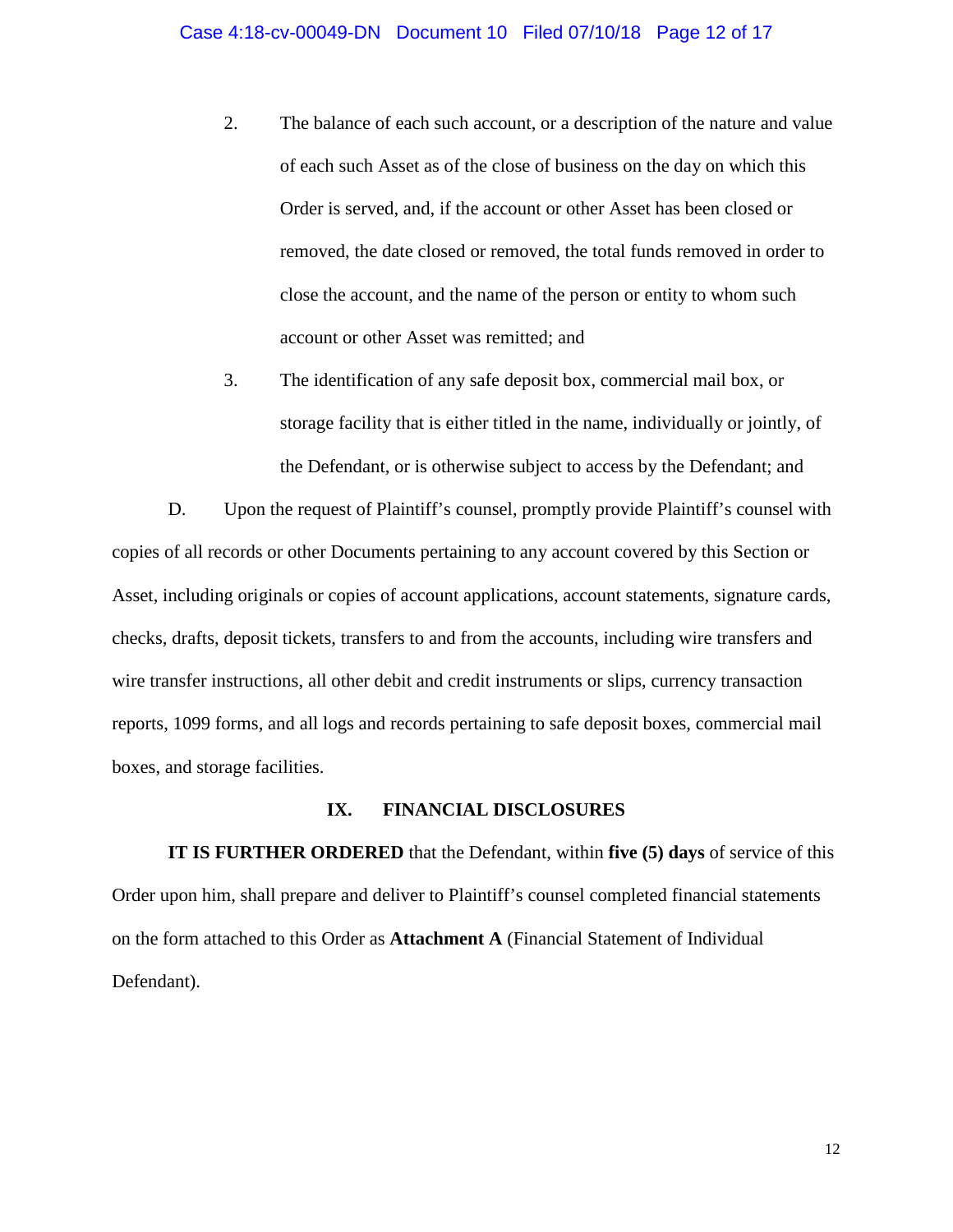- 2. The balance of each such account, or a description of the nature and value of each such Asset as of the close of business on the day on which this Order is served, and, if the account or other Asset has been closed or removed, the date closed or removed, the total funds removed in order to close the account, and the name of the person or entity to whom such account or other Asset was remitted; and
- 3. The identification of any safe deposit box, commercial mail box, or storage facility that is either titled in the name, individually or jointly, of the Defendant, or is otherwise subject to access by the Defendant; and

D. Upon the request of Plaintiff's counsel, promptly provide Plaintiff's counsel with copies of all records or other Documents pertaining to any account covered by this Section or Asset, including originals or copies of account applications, account statements, signature cards, checks, drafts, deposit tickets, transfers to and from the accounts, including wire transfers and wire transfer instructions, all other debit and credit instruments or slips, currency transaction reports, 1099 forms, and all logs and records pertaining to safe deposit boxes, commercial mail boxes, and storage facilities.

#### **IX. FINANCIAL DISCLOSURES**

**IT IS FURTHER ORDERED** that the Defendant, within **five (5) days** of service of this Order upon him, shall prepare and deliver to Plaintiff's counsel completed financial statements on the form attached to this Order as **Attachment A** (Financial Statement of Individual Defendant).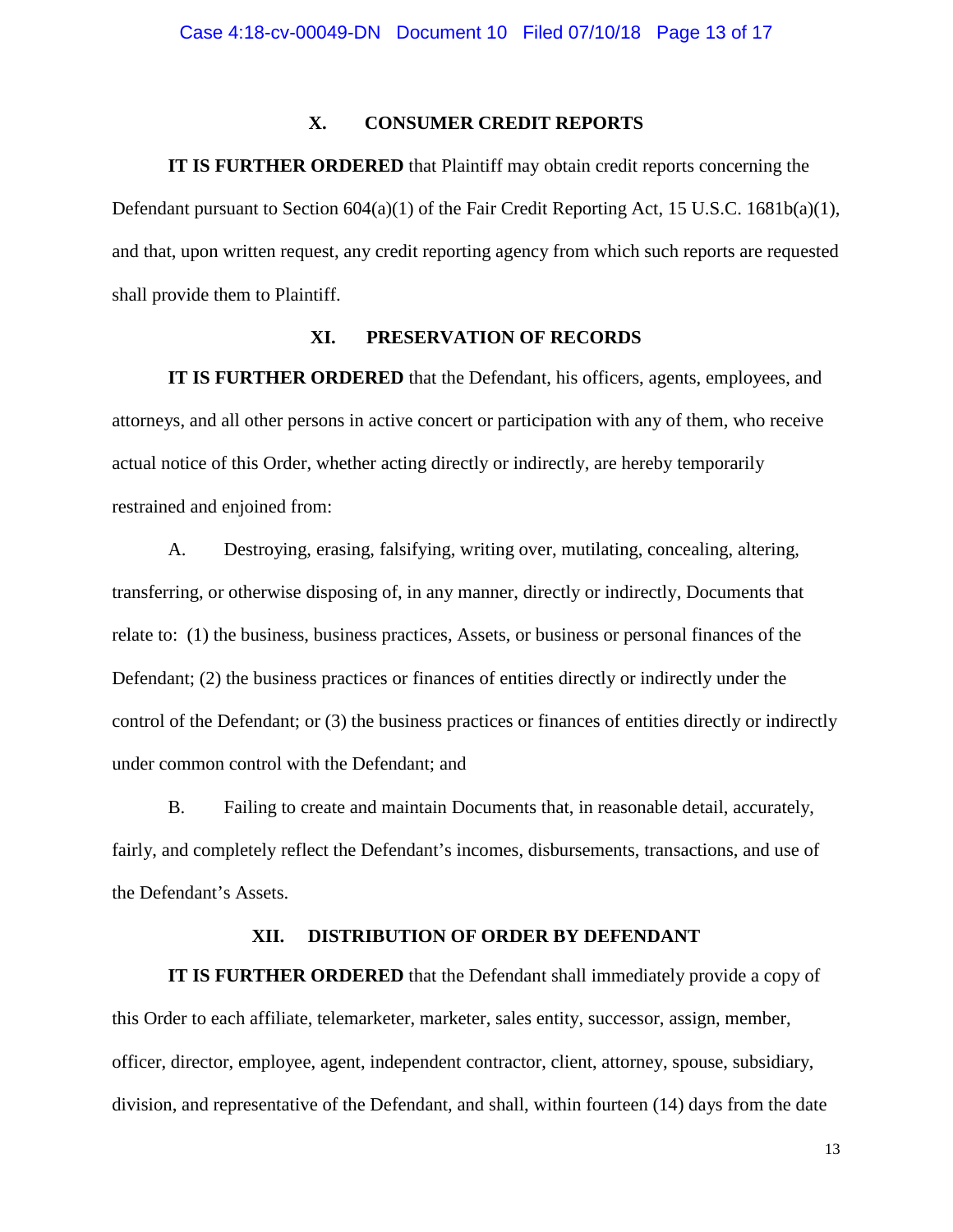## **X. CONSUMER CREDIT REPORTS**

## **IT IS FURTHER ORDERED** that Plaintiff may obtain credit reports concerning the

Defendant pursuant to Section  $604(a)(1)$  of the Fair Credit Reporting Act, 15 U.S.C. 1681b(a)(1), and that, upon written request, any credit reporting agency from which such reports are requested shall provide them to Plaintiff.

## **XI. PRESERVATION OF RECORDS**

**IT IS FURTHER ORDERED** that the Defendant, his officers, agents, employees, and attorneys, and all other persons in active concert or participation with any of them, who receive actual notice of this Order, whether acting directly or indirectly, are hereby temporarily restrained and enjoined from:

A. Destroying, erasing, falsifying, writing over, mutilating, concealing, altering, transferring, or otherwise disposing of, in any manner, directly or indirectly, Documents that relate to: (1) the business, business practices, Assets, or business or personal finances of the Defendant; (2) the business practices or finances of entities directly or indirectly under the control of the Defendant; or (3) the business practices or finances of entities directly or indirectly under common control with the Defendant; and

B. Failing to create and maintain Documents that, in reasonable detail, accurately, fairly, and completely reflect the Defendant's incomes, disbursements, transactions, and use of the Defendant's Assets.

## **XII. DISTRIBUTION OF ORDER BY DEFENDANT**

**IT IS FURTHER ORDERED** that the Defendant shall immediately provide a copy of this Order to each affiliate, telemarketer, marketer, sales entity, successor, assign, member, officer, director, employee, agent, independent contractor, client, attorney, spouse, subsidiary, division, and representative of the Defendant, and shall, within fourteen (14) days from the date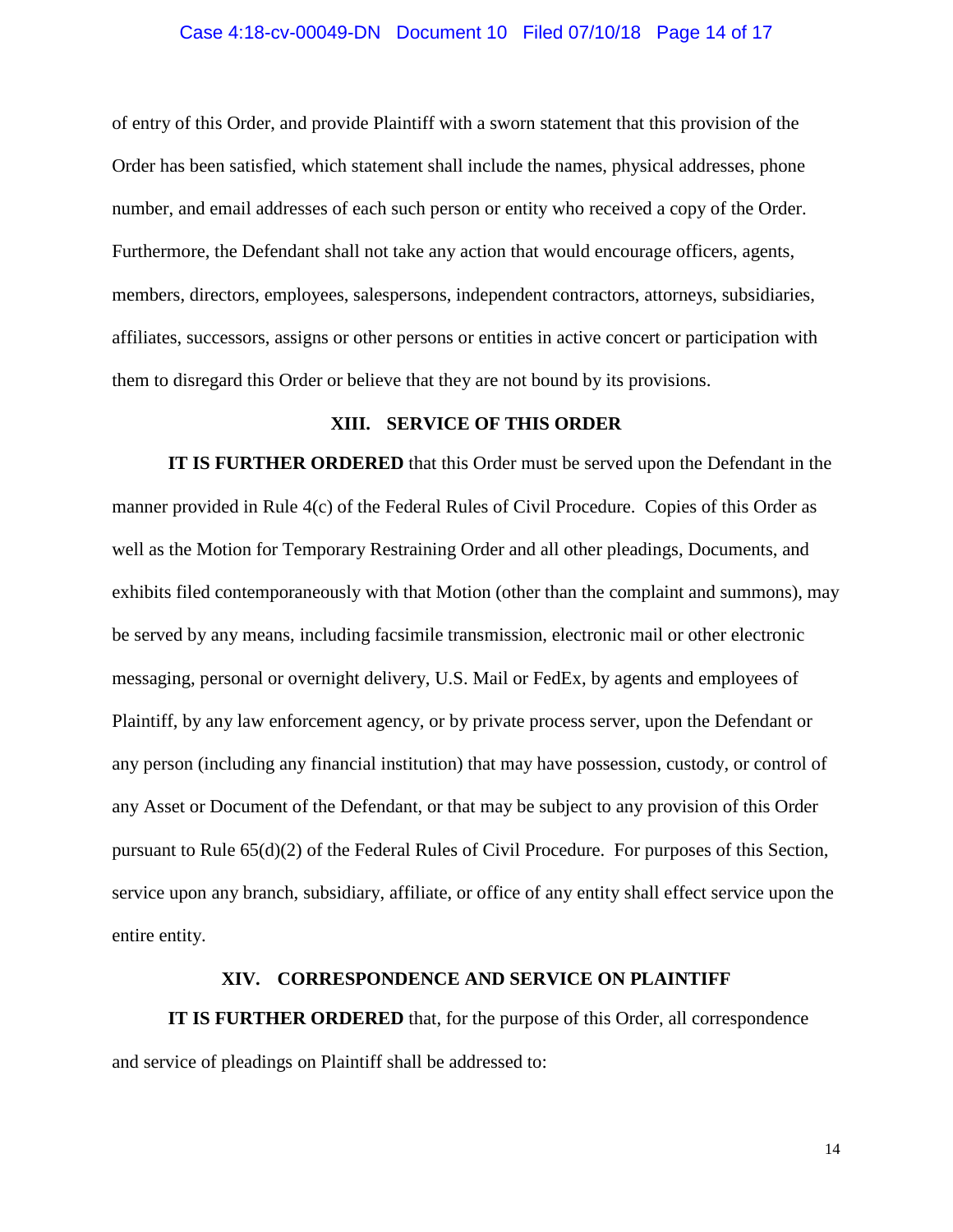#### Case 4:18-cv-00049-DN Document 10 Filed 07/10/18 Page 14 of 17

of entry of this Order, and provide Plaintiff with a sworn statement that this provision of the Order has been satisfied, which statement shall include the names, physical addresses, phone number, and email addresses of each such person or entity who received a copy of the Order. Furthermore, the Defendant shall not take any action that would encourage officers, agents, members, directors, employees, salespersons, independent contractors, attorneys, subsidiaries, affiliates, successors, assigns or other persons or entities in active concert or participation with them to disregard this Order or believe that they are not bound by its provisions.

## **XIII. SERVICE OF THIS ORDER**

**IT IS FURTHER ORDERED** that this Order must be served upon the Defendant in the manner provided in Rule 4(c) of the Federal Rules of Civil Procedure. Copies of this Order as well as the Motion for Temporary Restraining Order and all other pleadings, Documents, and exhibits filed contemporaneously with that Motion (other than the complaint and summons), may be served by any means, including facsimile transmission, electronic mail or other electronic messaging, personal or overnight delivery, U.S. Mail or FedEx, by agents and employees of Plaintiff, by any law enforcement agency, or by private process server, upon the Defendant or any person (including any financial institution) that may have possession, custody, or control of any Asset or Document of the Defendant, or that may be subject to any provision of this Order pursuant to Rule 65(d)(2) of the Federal Rules of Civil Procedure. For purposes of this Section, service upon any branch, subsidiary, affiliate, or office of any entity shall effect service upon the entire entity.

## **XIV. CORRESPONDENCE AND SERVICE ON PLAINTIFF**

**IT IS FURTHER ORDERED** that, for the purpose of this Order, all correspondence and service of pleadings on Plaintiff shall be addressed to: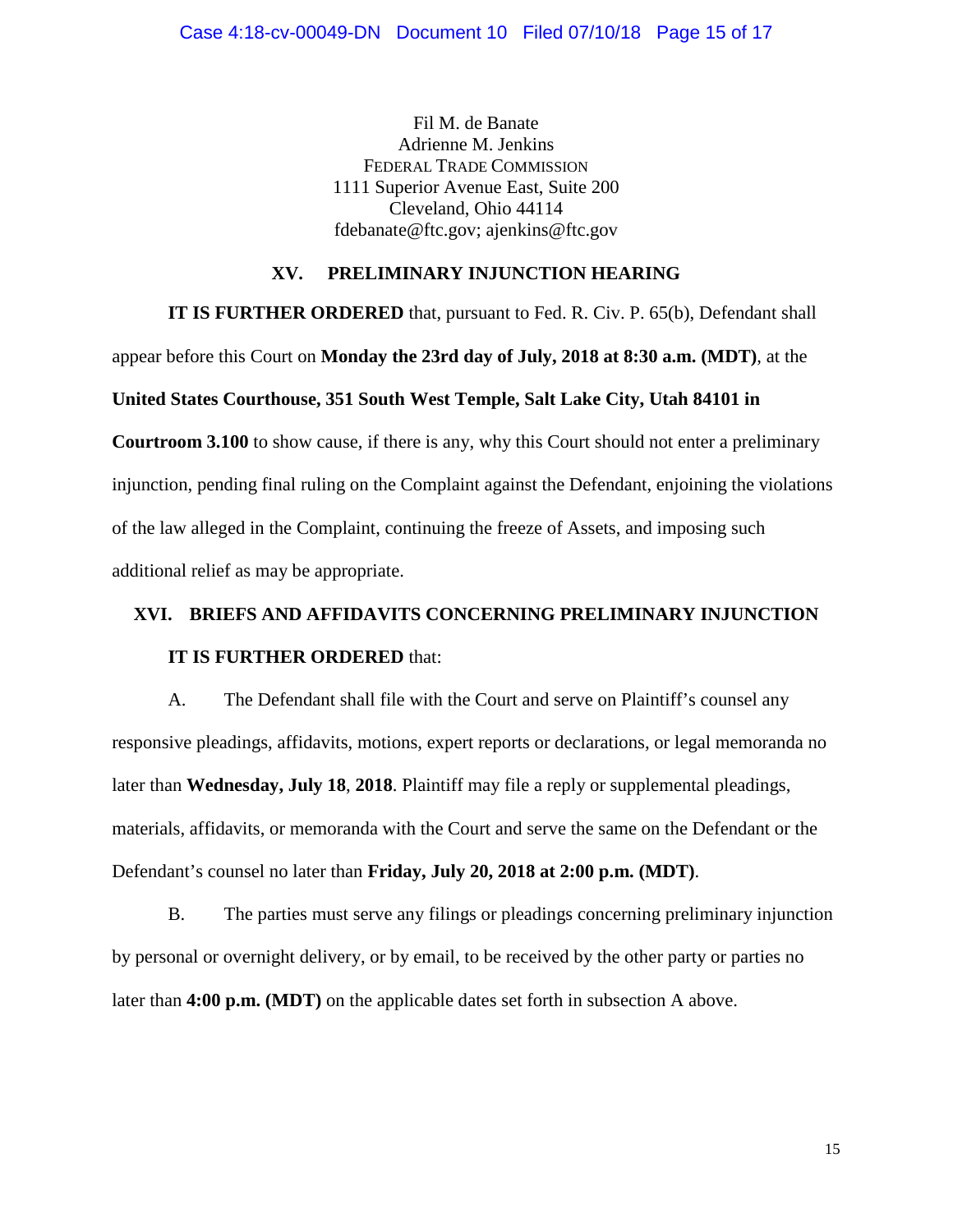Fil M. de Banate Adrienne M. Jenkins FEDERAL TRADE COMMISSION 1111 Superior Avenue East, Suite 200 Cleveland, Ohio 44114 fdebanate@ftc.gov; ajenkins@ftc.gov

## **XV. PRELIMINARY INJUNCTION HEARING**

**IT IS FURTHER ORDERED** that, pursuant to Fed. R. Civ. P. 65(b), Defendant shall appear before this Court on **Monday the 23rd day of July, 2018 at 8:30 a.m. (MDT)**, at the

## **United States Courthouse, 351 South West Temple, Salt Lake City, Utah 84101 in**

**Courtroom 3.100** to show cause, if there is any, why this Court should not enter a preliminary injunction, pending final ruling on the Complaint against the Defendant, enjoining the violations of the law alleged in the Complaint, continuing the freeze of Assets, and imposing such additional relief as may be appropriate.

# **XVI. BRIEFS AND AFFIDAVITS CONCERNING PRELIMINARY INJUNCTION IT IS FURTHER ORDERED** that:

A. The Defendant shall file with the Court and serve on Plaintiff's counsel any responsive pleadings, affidavits, motions, expert reports or declarations, or legal memoranda no later than **Wednesday, July 18**, **2018**. Plaintiff may file a reply or supplemental pleadings, materials, affidavits, or memoranda with the Court and serve the same on the Defendant or the Defendant's counsel no later than **Friday, July 20, 2018 at 2:00 p.m. (MDT)**.

B. The parties must serve any filings or pleadings concerning preliminary injunction by personal or overnight delivery, or by email, to be received by the other party or parties no later than **4:00 p.m. (MDT)** on the applicable dates set forth in subsection A above.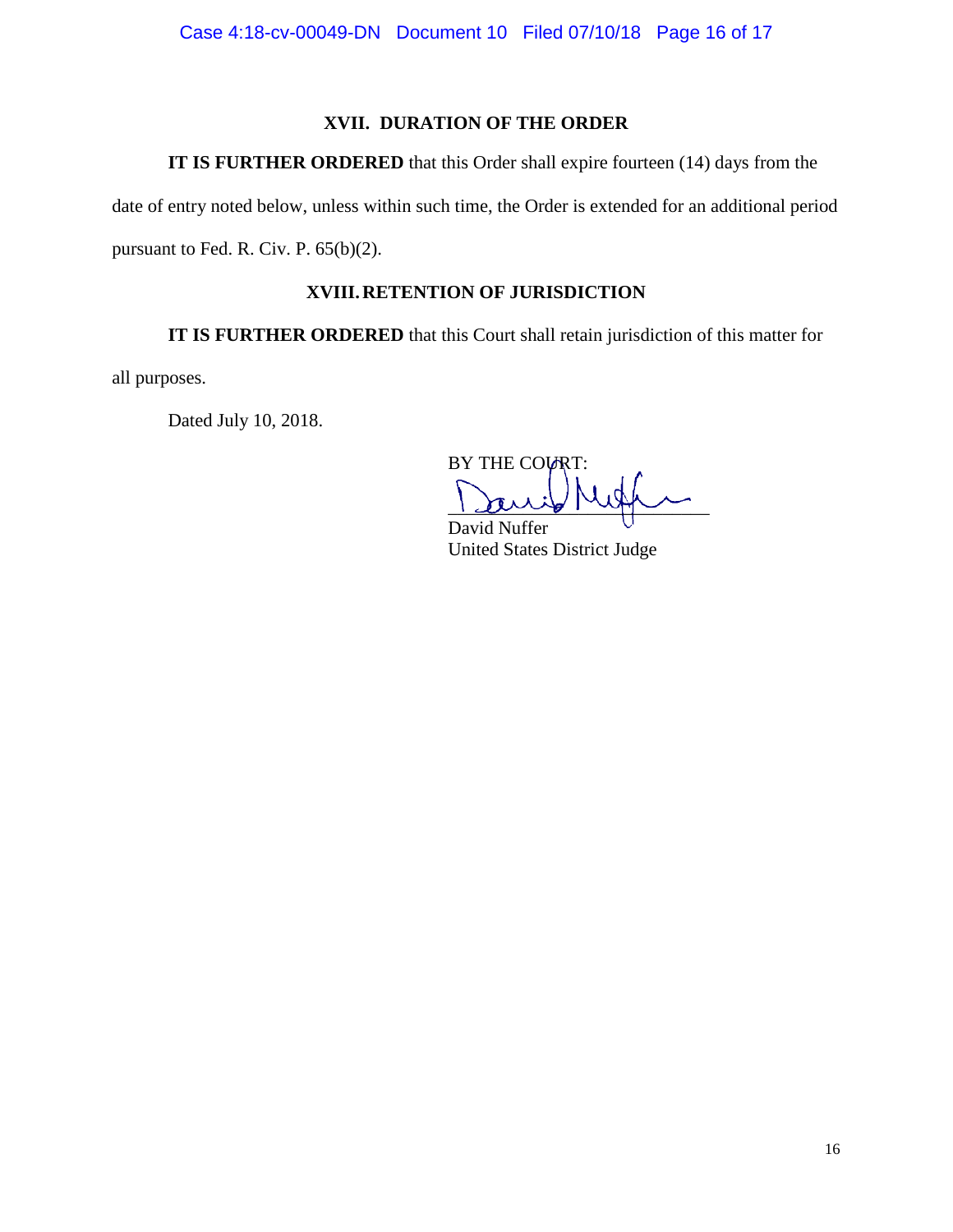## **XVII. DURATION OF THE ORDER**

**IT IS FURTHER ORDERED** that this Order shall expire fourteen (14) days from the

date of entry noted below, unless within such time, the Order is extended for an additional period pursuant to Fed. R. Civ. P. 65(b)(2).

## **XVIII.RETENTION OF JURISDICTION**

**IT IS FURTHER ORDERED** that this Court shall retain jurisdiction of this matter for

all purposes.

Dated July 10, 2018.

BY THE COURT:  $\frac{1}{2}$ 

David Nuffer United States District Judge